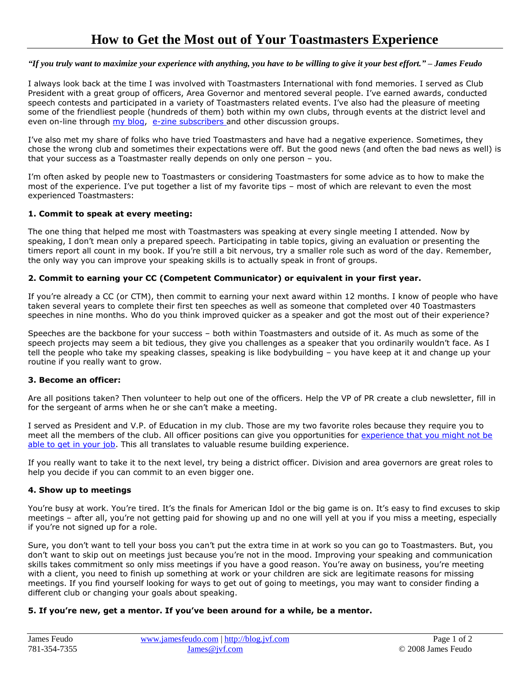### *"If you truly want to maximize your experience with anything, you have to be willing to give it your best effort." – James Feudo*

I always look back at the time I was involved with Toastmasters International with fond memories. I served as Club President with a great group of officers, Area Governor and mentored several people. I've earned awards, conducted speech contests and participated in a variety of Toastmasters related events. I've also had the pleasure of meeting some of the friendliest people (hundreds of them) both within my own clubs, through events at the district level and even on-line through [my blog,](http://blog.jvf.com/) [e-zine subscribers a](http://www.jvf.com/signup.asp)nd other discussion groups.

I've also met my share of folks who have tried Toastmasters and have had a negative experience. Sometimes, they chose the wrong club and sometimes their expectations were off. But the good news (and often the bad news as well) is that your success as a Toastmaster really depends on only one person – you.

I'm often asked by people new to Toastmasters or considering Toastmasters for some advice as to how to make the most of the experience. I've put together a list of my favorite tips – most of which are relevant to even the most experienced Toastmasters:

### **1. Commit to speak at every meeting:**

The one thing that helped me most with Toastmasters was speaking at every single meeting I attended. Now by speaking, I don't mean only a prepared speech. Participating in table topics, giving an evaluation or presenting the timers report all count in my book. If you're still a bit nervous, try a smaller role such as word of the day. Remember, the only way you can improve your speaking skills is to actually speak in front of groups.

## **2. Commit to earning your CC (Competent Communicator) or equivalent in your first year.**

If you're already a CC (or CTM), then commit to earning your next award within 12 months. I know of people who have taken several years to complete their first ten speeches as well as someone that completed over 40 Toastmasters speeches in nine months. Who do you think improved quicker as a speaker and got the most out of their experience?

Speeches are the backbone for your success – both within Toastmasters and outside of it. As much as some of the speech projects may seem a bit tedious, they give you challenges as a speaker that you ordinarily wouldn't face. As I tell the people who take my speaking classes, speaking is like bodybuilding – you have keep at it and change up your routine if you really want to grow.

### **3. Become an officer:**

Are all positions taken? Then volunteer to help out one of the officers. Help the VP of PR create a club newsletter, fill in for the sergeant of arms when he or she can't make a meeting.

I served as President and V.P. of Education in my club. Those are my two favorite roles because they require you to meet all the members of the club. All officer positions can give you opportunities for [experience that you might not be](http://blog.jvf.com/2008/02/04/leadership-%e2%80%93-how-to-get-experience/)  [able to get in your job.](http://blog.jvf.com/2008/02/04/leadership-%e2%80%93-how-to-get-experience/) This all translates to valuable resume building experience.

If you really want to take it to the next level, try being a district officer. Division and area governors are great roles to help you decide if you can commit to an even bigger one.

### **4. Show up to meetings**

You're busy at work. You're tired. It's the finals for American Idol or the big game is on. It's easy to find excuses to skip meetings – after all, you're not getting paid for showing up and no one will yell at you if you miss a meeting, especially if you're not signed up for a role.

Sure, you don't want to tell your boss you can't put the extra time in at work so you can go to Toastmasters. But, you don't want to skip out on meetings just because you're not in the mood. Improving your speaking and communication skills takes commitment so only miss meetings if you have a good reason. You're away on business, you're meeting with a client, you need to finish up something at work or your children are sick are legitimate reasons for missing meetings. If you find yourself looking for ways to get out of going to meetings, you may want to consider finding a different club or changing your goals about speaking.

### **5. If you're new, get a mentor. If you've been around for a while, be a mentor.**

| James Feudo  | www.jamesfeudo.com   http://blog.jvf.com | Page 1 of 2        |
|--------------|------------------------------------------|--------------------|
| 781-354-7355 | James@ivf.com                            | © 2008 James Feudo |